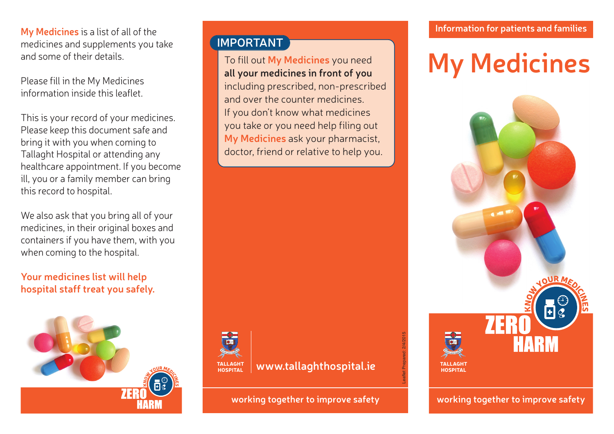**My Medicines** is a list of all of the medicines and supplements you take and some of their details.

Please fill in the My Medicines information inside this leaflet.

This is your record of your medicines. Please keep this document safe and bring it with you when coming to Tallaght Hospital or attending any healthcare appointment. If you become ill, you or a family member can bring this record to hospital.

We also ask that you bring all of your medicines, in their original boxes and containers if you have them, with you when coming to the hospital.

## **Your medicines list will help hospital staff treat you safely.**



## **IMPORTANT**

**TALLAGHT HOSPITAL**

To fill out **My Medicines** you need **all your medicines in front of you** including prescribed, non-prescribed and over the counter medicines. If you don't know what medicines you take or you need help filing out **My Medicines** ask your pharmacist, doctor, friend or relative to help you.

**www.tallaghthospital.ie**



**Information for patients and families**

## **My Medicines**



**working together to improve safety working together to improve safety**